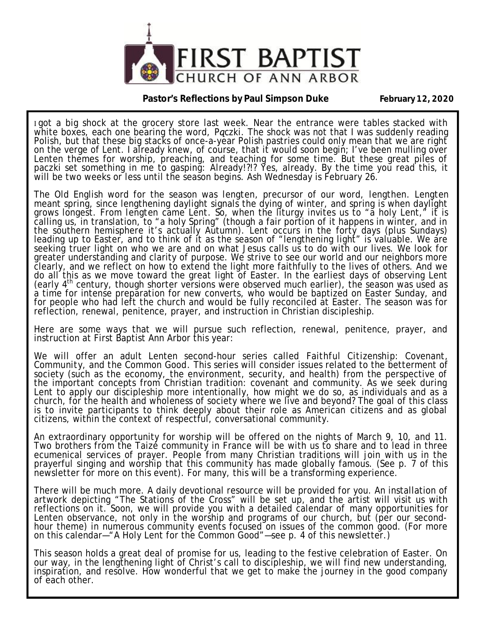

**Pastor's Reflections by Paul Simpson Duke February 12, 2020** 

I got a big shock at the grocery store last week. Near the entrance were tables stacked with white boxes, each one bearing the word, *Paczki*. The shock was not that I was suddenly reading Polish, but that these big stacks of once-a-year Polish pastries could only mean that we are right on the verge of Lent. I already knew, of course, that it would soon begin; I've been mulling over Lenten themes for worship, preaching, and teaching for some time. But these great piles of paczki set something in me to gasping: *Already!?!?* Yes, already. By the time you read this, it will be two weeks or less until the season begins. Ash Wednesday is February 26.

The Old English word for the season was *lengten*, precursor of our word, *lengthen*. *Lengten* meant spring, since lengthening daylight signals the dying of winter, and spring is when daylight grows longest. From *lengten* came *Lent*. So, when the liturgy invites us to "a holy Lent," it is calling us, in translation, to "a holy Spring" (though a fair portion of it happens in winter, and in the southern hemisphere it's actually Autumn). Lent occurs in the forty days (plus Sundays) leading up to Easter, and to think of it as the season of "lengthening light" is valuable. We are seeking truer light on who we are and on what Jesus calls us to do with our lives. We look for greater understanding and clarity of purpose. We strive to see our world and our neighbors more clearly, and we reflect on how to extend the light more faithfully to the lives of others. And we do all this as we move toward the great light of Easter. In the earliest days of observing Lent (early 4th century, though shorter versions were observed much earlier), the season was used as a time for intense preparation for new converts, who would be baptized on Easter Sunday, and for people who had left the church and would be fully reconciled at Easter. The season was for reflection, renewal, penitence, prayer, and instruction in Christian discipleship.

Here are some ways that we will pursue such reflection, renewal, penitence, prayer, and instruction at First Baptist Ann Arbor this year:

We will offer an adult Lenten second-hour series called *Faithful Citizenship: Covenant, Community, and the Common Good*. This series will consider issues related to the betterment of society (such as the economy, the environment, security, and health) from the perspective of the important concepts from Christian tradition: covenant and community. As we seek during Lent to apply our discipleship more intentionally, how might we do so, as individuals and as a church, for the health and wholeness of society where we live and beyond? The goal of this class is to invite participants to think deeply about their role as American citizens and as global citizens, within the context of respectful, conversational community.

An extraordinary opportunity for worship will be offered on the nights of March 9, 10, and 11. Two brothers from the Taize community in France will be with us to share and to lead in three ecumenical services of prayer. People from many Christian traditions will join with us in the prayerful singing and worship that this community has made globally famous. (See p. 7 of this newsletter for more on this event). For many, this will be a transforming experience.

There will be much more. A daily devotional resource will be provided for you. An installation of artwork depicting "The Stations of the Cross" will be set up, and the artist will visit us with reflections on it. Soon, we will provide you with a detailed calendar of *many* opportunities for Lenten observance, not only in the worship and programs of our church, but (per our secondhour theme) in numerous community events focused on issues of the common good. (For more on this calendar—"A Holy Lent for the Common Good"—see p. 4 of this newsletter.)

This season holds a great deal of promise for us, leading to the festive celebration of Easter. On our way, in the lengthening light of Christ's call to discipleship, we will find new understanding, inspiration, and resolve. How wonderful that we get to make the journey in the good company of each other.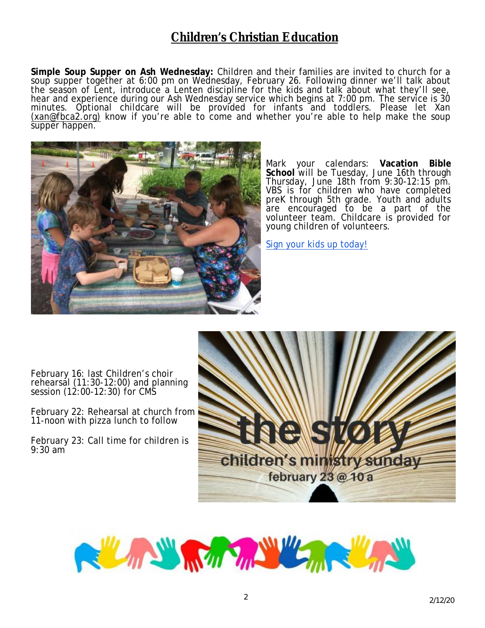# **Children's Christian Education**

**Simple Soup Supper on Ash Wednesday:** Children and their families are invited to church for a soup supper together at 6:00 pm on Wednesday, February 26. Following dinner we'll talk about the season of Lent, introduce a Lenten discipline for the kids and talk about what they'll see, hear and experience during our Ash Wednesday service which begins at 7:00 pm. The service is 30 minutes. Optional childcare will be provided for infants and toddlers. Please let Xan [\(xan@fbca2.org\)](mailto:(xan@fbca2.org)) know if you're able to come and whether you're able to help make the soup supper happen.



Mark your calendars: **Vacation Bible School** will be Tuesday, June 16th through Thursday, June 18th from 9:30-12:15 pm. VBS is for children who have completed preK through 5th grade. Youth and adults are encouraged to be a part of the volunteer team. Childcare is provided for young children of volunteers.

Sign your kids up today!

February 16: last Children's choir rehearsal (11:30-12:00) and planning session (12:00-12:30) for CMS

February 22: Rehearsal at church from 11-noon with pizza lunch to follow

February 23: Call time for children is 9:30 am



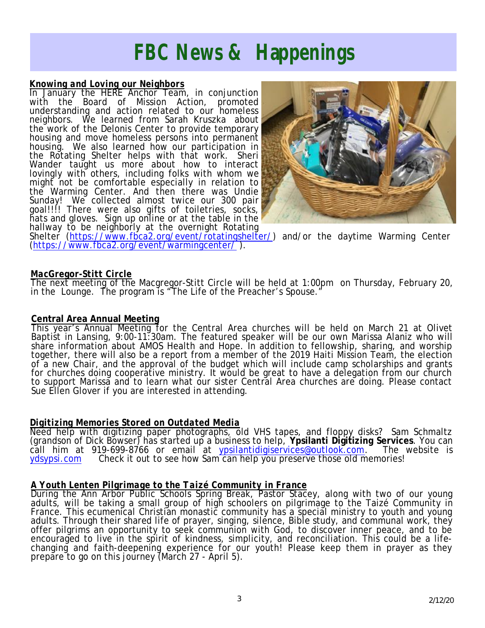# *FBC News & Happenings*

#### *Knowing and Loving our Neighbors*

In January the HERE Anchor Team, in conjunction with the Board of Mission Action, promoted understanding and action related to our homeless neighbors. We learned from Sarah Kruszka about the work of the Delonis Center to provide temporary housing and move homeless persons into permanent housing. We also learned how our participation in the Rotating Shelter helps with that work. Sheri Wander taught us more about how to interact lovingly with others, including folks with whom we might not be comfortable especially in relation to the Warming Center. And then there was Undie Sunday! We collected almost twice our 300 pair goal!!!! There were also gifts of toiletries, socks, hats and gloves. Sign up online or at the table in the hallway to be neighborly at the overnight Rotating



Shelter (<https://www.fbca2.org/event/rotatingshelter/>) and/or the daytime Warming Center (<https://www.fbca2.org/event/warmingcenter/> ).

#### *MacGregor-Stitt Circle*

The next meeting of the Macgregor-Stitt Circle will be held at 1:00pm on Thursday, February 20, in the Lounge. The program is "The Life of the Preacher's Spouse."

#### **Central Area Annual Meeting**

This year's Annual Meeting for the Central Area churches will be held on March 21 at Olivet Baptist in Lansing, 9:00-11:30am. The featured speaker will be our own Marissa Alaniz who will share information about AMOS Health and Hope. In addition to fellowship, sharing, and worship together, there will also be a report from a member of the 2019 Haiti Mission Team, the election of a new Chair, and the approval of the budget which will include camp scholarships and grants for churches doing cooperative ministry. It would be great to have a delegation from our church to support Marissa and to learn what our sister Central Area churches are doing. Please contact Sue Ellen Glover if you are interested in attending.

### *Digitizing Memories Stored on Outdated Media*

Need help with digitizing paper photographs, old VHS tapes, and floppy disks? Sam Schmaltz (grandson of Dick Bowser) has started up a business to help, **Ypsilanti Digitizing Services**. You can call him at 919-699-8766 or email at [ypsilantidigiservices@outlook.com.](mailto:ypsilantidigiservices@outlook.com) The website is ydsypsi.com Check it out to see how Sam can help you preserve those old memories!

### *A Youth Lenten Pilgrimage to the Taizé Community in France*

During the Ann Arbor Public Schools Spring Break, Pastor Stacey, along with two of our young adults, will be taking a small group of high schoolers on pilgrimage to the Taizé Community in France. This ecumenical Christian monastic community has a special ministry to youth and young adults. Through their shared life of prayer, singing, silence, Bible study, and communal work, they offer pilgrims an opportunity to seek communion with God, to discover inner peace, and to be encouraged to live in the spirit of kindness, simplicity, and reconciliation. This could be a lifechanging and faith-deepening experience for our youth! Please keep them in prayer as they prepare to go on this journey (March 27 - April 5).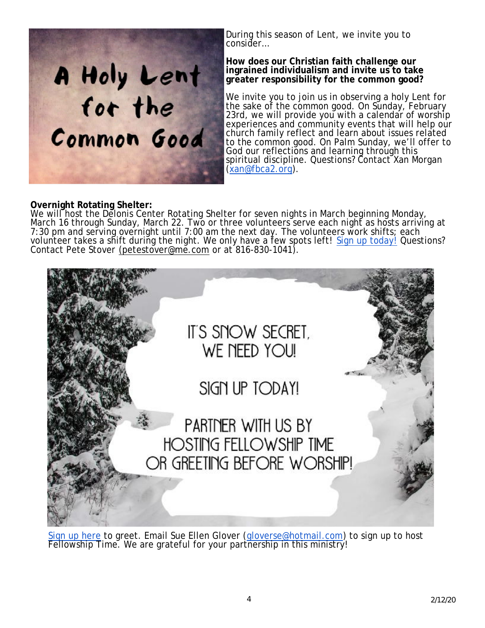

During this season of Lent, we invite you to consider…

#### **How does our Christian faith challenge our ingrained individualism and invite us to take greater responsibility for the common good?**

We invite you to join us in observing a holy Lent for the sake of the common good. On Sunday, February 23rd, we will provide you with a calendar of worship experiences and community events that will help our church family reflect and learn about issues related to the common good. On Palm Sunday, we'll offer to God our reflections and learning through this spiritual discipline. Questions? Contact Xan Morgan ([xan@fbca2.org](mailto:xan@fbca2.org)).

### **Overnight Rotating Shelter:**

We will host the Delonis Center Rotating Shelter for seven nights in March beginning Monday, March 16 through Sunday, March 22. Two or three volunteers serve each night as hosts arriving at 7:30 pm and serving overnight until 7:00 am the next day. The volunteers work shifts; each volunteer takes a sh̃ift duriñg the night. We only have a f̃ew spots left! <u>Sign up today!</u> Questions? Contact Pete Stover [\(petestover@me.com](mailto:(petestover@me.com) or at 816-830-1041).



Sign up here to greet. Email Sue Ellen Glover ([gloverse@hotmail.com](mailto:gloverse@hotmail.com)) to sign up to host Fellowship Time. We are grateful for your partnership in this ministry!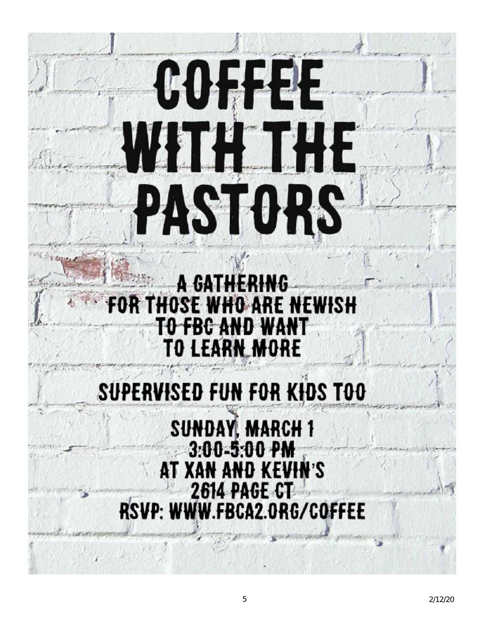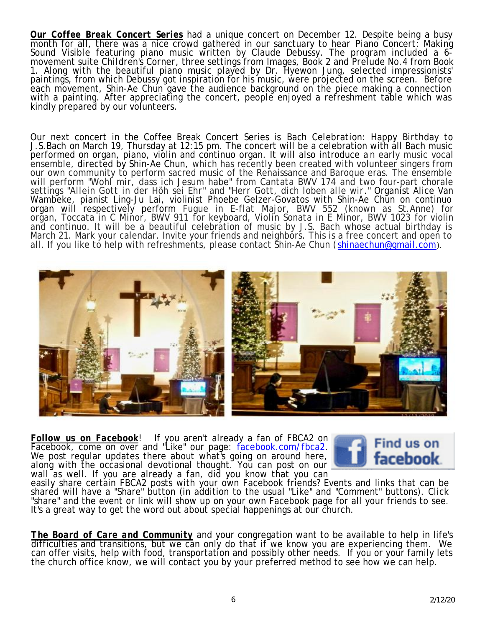*Our Coffee Break Concert Series* had a unique concert on December 12. Despite being a busy month for all, there was a nice crowd gathered in our sanctuary to hear *Piano Concert: Making Sound Visible* featuring piano music written by Claude Debussy. The program included a 6 movement suite *Children's Corner*, three settings from *Images, Book 2* and *Prelude No.4* from Book 1. Along with the beautiful piano music played by Dr. Hyewon Jung, selected impressionists' paintings, from which Debussy got inspiration for his music, were projected on the screen. Before each movement, Shin-Ae Chun gave the audience background on the piece making a connection with a painting. After appreciating the concert, people enjoyed a refreshment table which was kindly prepared by our volunteers.

Our next concert in the Coffee Break Concert Series is *Bach Celebration: Happy Birthday to J.S.Bach* on March 19, Thursday at 12:15 pm. The concert will be a celebration with all Bach music performed on organ, piano, violin and continuo organ. It will also introduce an early music vocal ensemble, directed by Shin-Ae Chun, which has recently been created with volunteer singers from our own community to perform sacred music of the Renaissance and Baroque eras. The ensemble will perform "*Wohl mir, dass ich Jesum habe*" from *Cantata BWV 174* and two four-part chorale settings "*Allein Gott in der Höh sei Ehr*" and "*Herr Gott, dich loben alle wir*." Organist Alice Van Wambeke, pianist Ling-Ju Lai, violinist Phoebe Gelzer-Govatos with Shin-Ae Chun on continuo organ will respectively perform *Fugue in E-flat Major, BWV 552* (known as St.Anne) for organ, *Toccata in C Minor, BWV 911* for keyboard, *Violin Sonata in E Minor, BWV 1023* for violin and continuo. It will be a beautiful celebration of music by J.S. Bach whose actual birthday is March 21. Mark your calendar. Invite your friends and neighbors. This is a free concert and open to all. If you like to help with refreshments, please contact Shin-Ae Chun ( [shinaechun@gmail.com](mailto:shinaechun@gmail.com)).



*Follow us on Facebook*! If you aren't already a fan of FBCA2 on Facebook, come on over and "Like" our page: facebook.com/fbca2. We post regular updates there about what's going on around here, along with the occasional devotional thought. You can post on our wall as well. If you are already a fan, did you know that you can



easily share certain FBCA2 posts with your own Facebook friends? Events and links that can be shared will have a "Share" button (in addition to the usual "Like" and "Comment" buttons). Click "share" and the event or link will show up on your own Facebook page for all your friends to see. It's a great way to get the word out about spectal happenings at our church.

*The Board of Care and Community* and your congregation want to be available to help in life's difficulties and transitions, but we can only do that if we know you are experiencing them. We can offer visits, help with food, transportation and possibly other needs. If you or your family lets the church office know, we will contact you by your preferred method to see how we can help.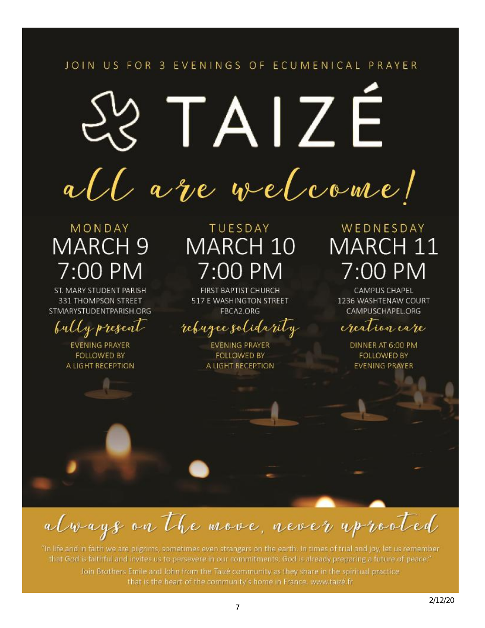## JOIN US FOR 3 EVENINGS OF ECUMENICAL PRAYER

# IAIZE all are welcome!

# MONDAY **MARCH 9** 7:00 PM

ST. MARY STUDENT PARISH 331 THOMPSON STREET STMARYSTUDENTPARISH.ORG

bully present

**EVENING PRAYER FOLLOWED BY** A LIGHT RECEPTION

# TUESDAY MARCH 10 7:00 PM

**FIRST BAPTIST CHURCH** 517 E WASHINGTON STREET FBCA2.ORG

# rebugee solidarity

**EVENING PRAYER FOLLOWED BY** A LIGHT RECEPTION

# WEDNESDAY MARCH 11 7:00 PM

**CAMPUS CHAPEL** 1236 WASHTENAW COURT CAMPUSCHAPEL.ORG

creation care

DINNER AT 6:00 PM **FOLLOWED BY EVENING PRAYER** 

always on the move, never up rooted

"In life and in faith we are pilgrims, sometimes even strangers on the earth. In times of trial and joy, let us remember that God is faithful and invites us to persevere in our commitments; God is already preparing a future of peace." Join Brothers Emile and John from the Taizé community as they share in the spiritual practice that is the heart of the community's home in France, www.taizé.fr.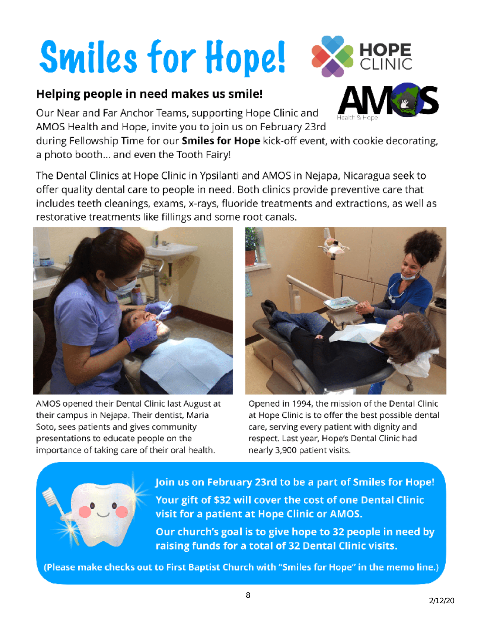# **Smiles for Hope!**

# Helping people in need makes us smile!

Our Near and Far Anchor Teams, supporting Hope Clinic and AMOS Health and Hope, invite you to join us on February 23rd

during Fellowship Time for our Smiles for Hope kick-off event, with cookie decorating, a photo booth... and even the Tooth Fairy!

The Dental Clinics at Hope Clinic in Ypsilanti and AMOS in Nejapa, Nicaragua seek to offer quality dental care to people in need. Both clinics provide preventive care that includes teeth cleanings, exams, x-rays, fluoride treatments and extractions, as well as restorative treatments like fillings and some root canals.





Opened in 1994, the mission of the Dental Clinic at Hope Clinic is to offer the best possible dental care, serving every patient with dignity and respect. Last year, Hope's Dental Clinic had nearly 3,900 patient visits.



Join us on February 23rd to be a part of Smiles for Hope! Your gift of \$32 will cover the cost of one Dental Clinic visit for a patient at Hope Clinic or AMOS. Our church's goal is to give hope to 32 people in need by

raising funds for a total of 32 Dental Clinic visits.

(Please make checks out to First Baptist Church with "Smiles for Hope" in the memo line.)

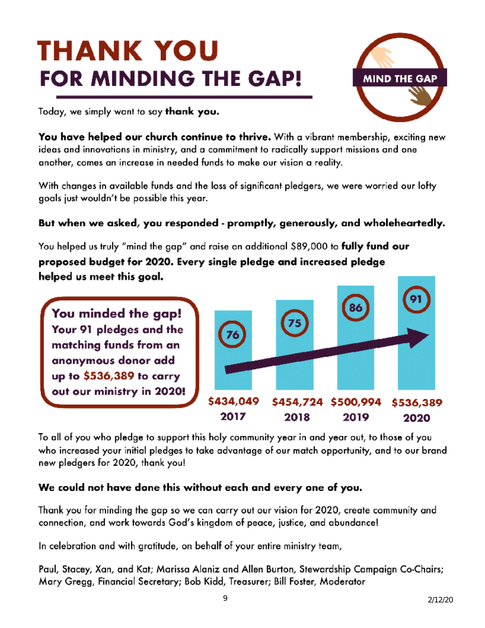# THANK YOU **FOR MINDING THE GAP!**



Today, we simply want to say thank you.

**You have helped our church continue to thrive.** With a vibrant membership, exciting new ideas and innovations in ministry, and a commitment to radically support missions and one another, comes an increase in needed funds to make our vision a reality.

With changes in available funds and the loss of significant pledgers, we were worried our lofty goals just wouldn't be possible this year.

## But when we asked, you responded - promptly, generously, and wholeheartedly.

You helped us truly "mind the gap" and raise an additional \$89,000 to **fully fund our** proposed budget for 2020. Every single pledge and increased pledge helped us meet this goal.

You minded the gap! Your 91 pledges and the matching funds from an anonymous donor add up to \$536,389 to carry out our ministry in 2020!



To all of you who pledge to support this holy community year in and year out, to those of you who increased your initial pledges to take advantage of our match opportunity, and to our brand new pledgers for 2020, thank you!

## We could not have done this without each and every one of you.

Thank you for minding the gap so we can carry out our vision for 2020, create community and connection, and work towards God's kingdom of peace, justice, and abundance!

In celebration and with gratitude, on behalf of your entire ministry team,

Paul, Stacey, Xan, and Kat; Marissa Alaniz and Allen Burton, Stewardship Campaign Co-Chairs; Mary Gregg, Financial Secretary; Bob Kidd, Treasurer; Bill Foster, Moderator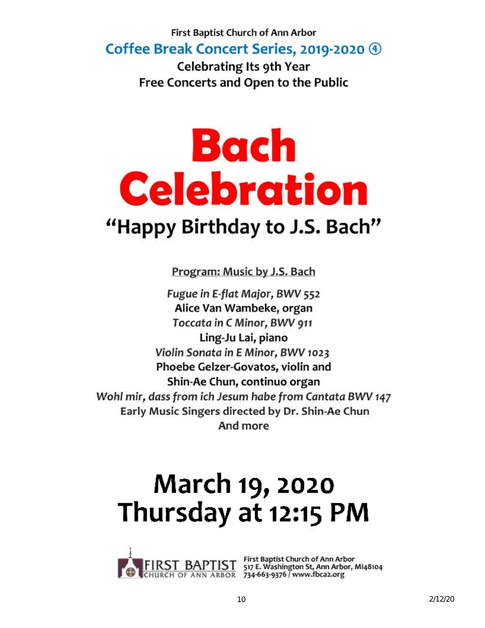## First Baptist Church of Ann Arbor Coffee Break Concert Series, 2019-2020 4

**Celebrating Its 9th Year** Free Concerts and Open to the Public

# Bach **Celebration** "Happy Birthday to J.S. Bach"

Program: Music by J.S. Bach

Fugue in E-flat Major, BWV 552 Alice Van Wambeke, organ Toccata in C Minor, BWV 911 Ling-Ju Lai, piano Violin Sonata in E Minor, BWV 1023 Phoebe Gelzer-Govatos, violin and Shin-Ae Chun, continuo organ Wohl mir, dass from ich Jesum habe from Cantata BWV 147 Early Music Singers directed by Dr. Shin-Ae Chun And more

# **March 19, 2020** Thursday at 12:15 PM



ST BAPTIST First Baptist Church of Ann Arbor<br>CH OF ANN ARBOR 734-663-9376 / www.fbca2.org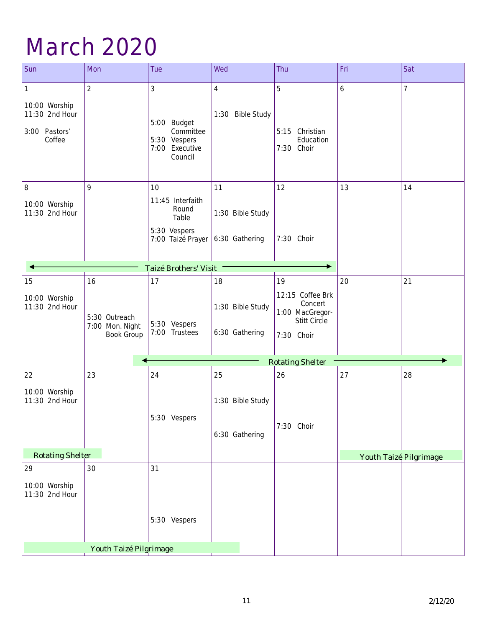# March 2020

| Sun                                                             | Mon                                                         | Tue                                                                           | Wed                                      | Thu                                                                                | Fri | Sat                    |
|-----------------------------------------------------------------|-------------------------------------------------------------|-------------------------------------------------------------------------------|------------------------------------------|------------------------------------------------------------------------------------|-----|------------------------|
| 1<br>10:00 Worship<br>11:30 2nd Hour<br>3:00 Pastors'<br>Coffee | $\overline{2}$                                              | 3<br>5:00 Budget<br>Committee<br>5:30 Vespers<br>7:00 Executive<br>Council    | $\overline{4}$<br>1:30 Bible Study       | 5<br>5:15 Christian<br>Education<br>7:30 Choir                                     | 6   | $\overline{7}$         |
| 8<br>10:00 Worship<br>11:30 2nd Hour                            | 9                                                           | 10<br>11:45 Interfaith<br>Round<br>Table<br>5:30 Vespers<br>7:00 Taizé Prayer | 11<br>1:30 Bible Study<br>6:30 Gathering | 12<br>7:30 Choir                                                                   | 13  | 14                     |
|                                                                 | <b>Taizé Brothers' Visit</b>                                |                                                                               |                                          |                                                                                    |     |                        |
| 15<br>10:00 Worship<br>11:30 2nd Hour                           | 16<br>5:30 Outreach<br>7:00 Mon. Night<br><b>Book Group</b> | 17<br>5:30 Vespers<br>7:00 Trustees                                           | 18<br>1:30 Bible Study<br>6:30 Gathering | 19<br>12:15 Coffee Brk<br>Concert<br>1:00 MacGregor-<br>Stitt Circle<br>7:30 Choir | 20  | 21                     |
|                                                                 |                                                             |                                                                               |                                          | <b>Rotating Shelter</b>                                                            |     | ь                      |
| 22<br>10:00 Worship<br>11:30 2nd Hour                           | 23                                                          | 24<br>5:30 Vespers                                                            | 25<br>1:30 Bible Study<br>6:30 Gathering | 26<br>7:30 Choir                                                                   | 27  | 28                     |
| <b>Rotating Shelter</b>                                         |                                                             |                                                                               |                                          |                                                                                    |     | Youth Taizé Pilgrimage |
| 29<br>10:00 Worship<br>11:30 2nd Hour                           | 30<br>Youth Taizé Pilgrimage                                | 31<br>5:30 Vespers                                                            |                                          |                                                                                    |     |                        |
|                                                                 |                                                             |                                                                               |                                          |                                                                                    |     |                        |